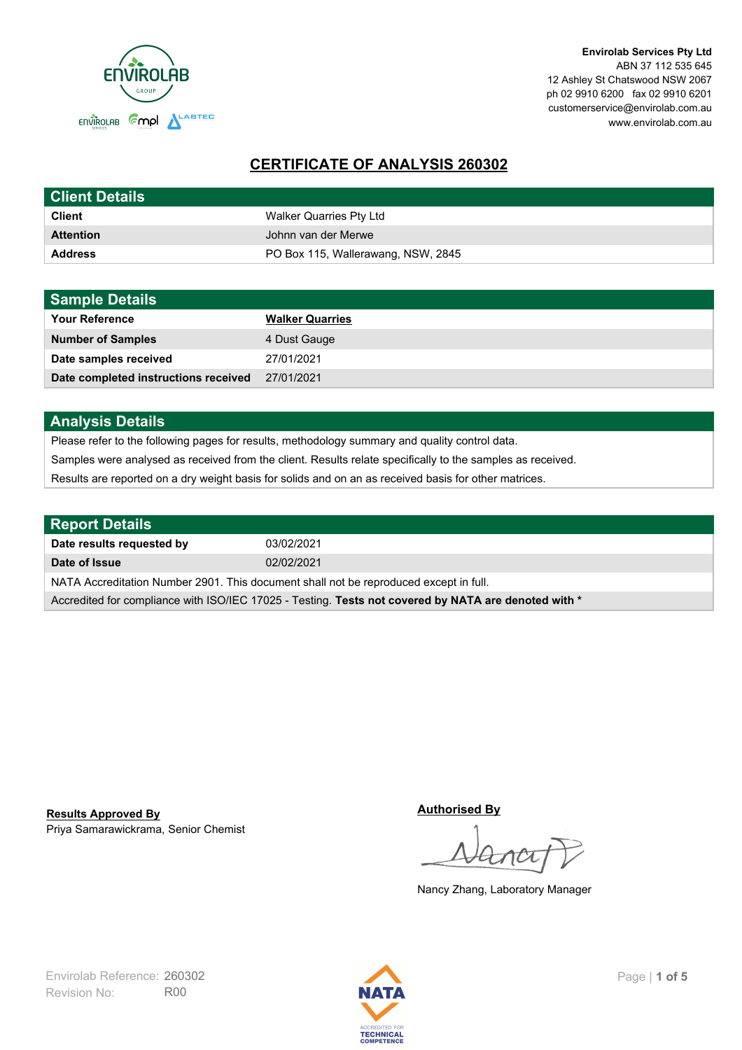

**Envirolab Services Pty Ltd** ABN 37 112 535 645 12 Ashley St Chatswood NSW 2067 ph 02 9910 6200 fax 02 9910 6201 customerservice@envirolab.com.au www.envirolab.com.au

# **CERTIFICATE OF ANALYSIS 260302**

| <b>Client Details</b> |                                    |
|-----------------------|------------------------------------|
| <b>Client</b>         | Walker Quarries Pty Ltd            |
| <b>Attention</b>      | Johnn van der Merwe                |
| <b>Address</b>        | PO Box 115, Wallerawang, NSW, 2845 |

| <b>Sample Details</b>                |                        |
|--------------------------------------|------------------------|
| <b>Your Reference</b>                | <b>Walker Quarries</b> |
| <b>Number of Samples</b>             | 4 Dust Gauge           |
| Date samples received                | 27/01/2021             |
| Date completed instructions received | 27/01/2021             |

## **Analysis Details**

Please refer to the following pages for results, methodology summary and quality control data.

Samples were analysed as received from the client. Results relate specifically to the samples as received.

Results are reported on a dry weight basis for solids and on an as received basis for other matrices.

| <b>Report Details</b>                                                                                |            |  |
|------------------------------------------------------------------------------------------------------|------------|--|
| Date results requested by                                                                            | 03/02/2021 |  |
| Date of Issue                                                                                        | 02/02/2021 |  |
| NATA Accreditation Number 2901. This document shall not be reproduced except in full.                |            |  |
| Accredited for compliance with ISO/IEC 17025 - Testing. Tests not covered by NATA are denoted with * |            |  |

Priya Samarawickrama, Senior Chemist **Results Approved By**

**Authorised By**

Nancy Zhang, Laboratory Manager

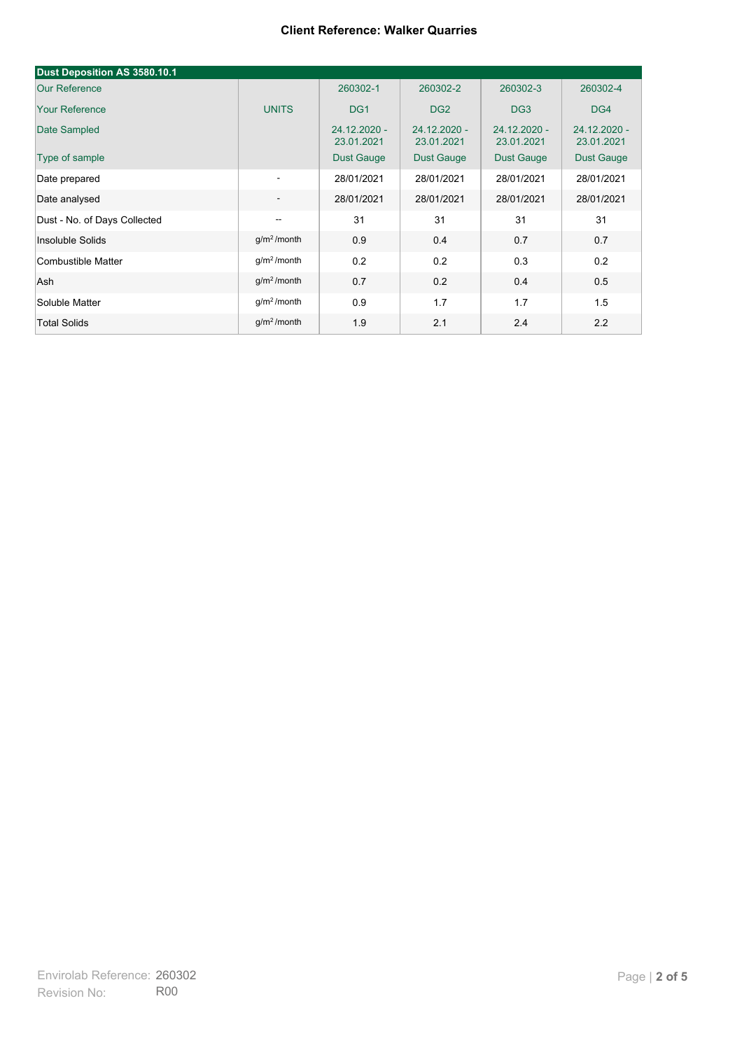| Dust Deposition AS 3580.10.1 |                          |                            |                              |                              |                            |
|------------------------------|--------------------------|----------------------------|------------------------------|------------------------------|----------------------------|
| <b>Our Reference</b>         |                          | 260302-1                   | 260302-2                     | 260302-3                     | 260302-4                   |
| <b>Your Reference</b>        | <b>UNITS</b>             | DG <sub>1</sub>            | DG <sub>2</sub>              | DG <sub>3</sub>              | DG4                        |
| Date Sampled                 |                          | 24.12.2020 -<br>23.01.2021 | $24.12.2020 -$<br>23.01.2021 | $24.12.2020 -$<br>23.01.2021 | 24.12.2020 -<br>23.01.2021 |
| Type of sample               |                          | <b>Dust Gauge</b>          | <b>Dust Gauge</b>            | <b>Dust Gauge</b>            | Dust Gauge                 |
| Date prepared                | $\overline{\phantom{a}}$ | 28/01/2021                 | 28/01/2021                   | 28/01/2021                   | 28/01/2021                 |
| Date analysed                | $\overline{\phantom{a}}$ | 28/01/2021                 | 28/01/2021                   | 28/01/2021                   | 28/01/2021                 |
| Dust - No. of Days Collected | $\overline{\phantom{a}}$ | 31                         | 31                           | 31                           | 31                         |
| Insoluble Solids             | g/m <sup>2</sup> /month  | 0.9                        | 0.4                          | 0.7                          | 0.7                        |
| Combustible Matter           | g/m <sup>2</sup> /month  | 0.2                        | 0.2                          | 0.3                          | 0.2                        |
| Ash                          | g/m <sup>2</sup> /month  | 0.7                        | 0.2                          | 0.4                          | 0.5                        |
| Soluble Matter               | g/m <sup>2</sup> /month  | 0.9                        | 1.7                          | 1.7                          | 1.5                        |
| <b>Total Solids</b>          | $g/m2$ /month            | 1.9                        | 2.1                          | 2.4                          | 2.2                        |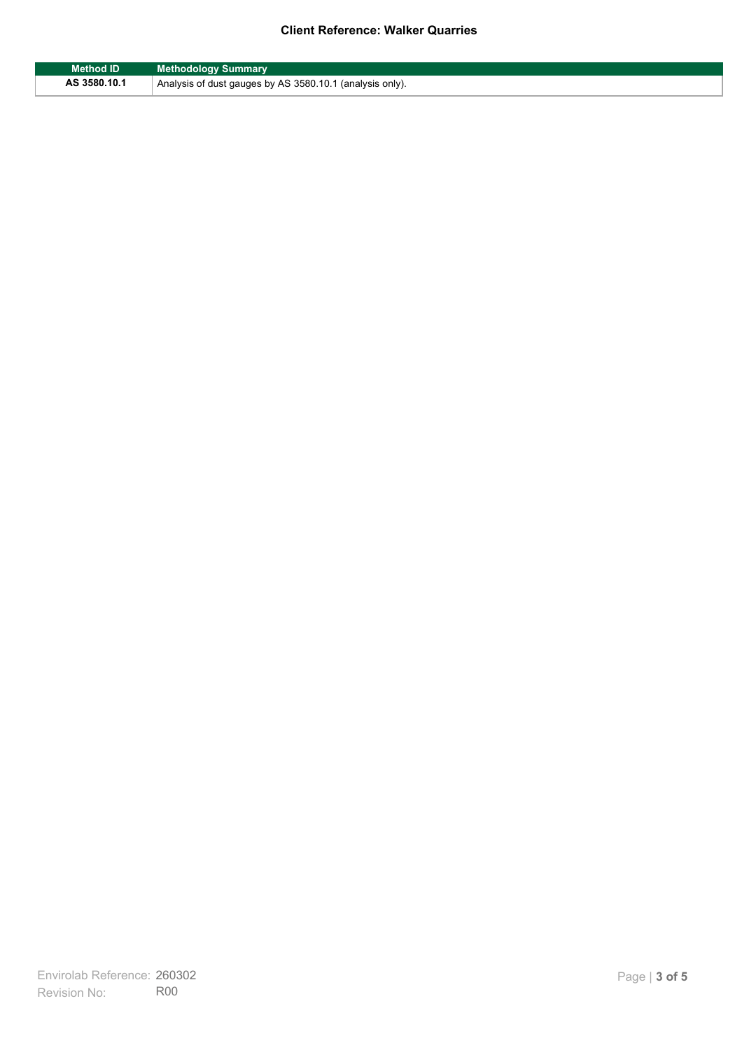| <b>Method ID</b> | <b>Methodology Summary</b>                               |
|------------------|----------------------------------------------------------|
| AS 3580.10.1     | Analysis of dust gauges by AS 3580.10.1 (analysis only). |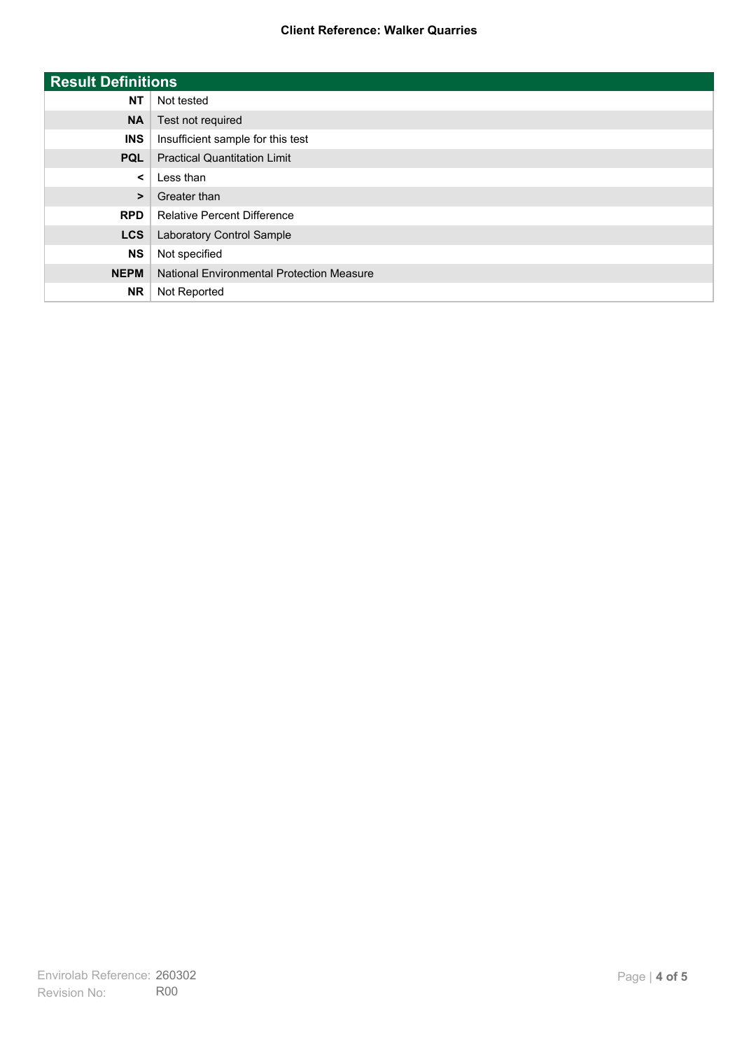| <b>Result Definitions</b> |                                           |
|---------------------------|-------------------------------------------|
| <b>NT</b>                 | Not tested                                |
| <b>NA</b>                 | Test not required                         |
| <b>INS</b>                | Insufficient sample for this test         |
| <b>PQL</b>                | <b>Practical Quantitation Limit</b>       |
| $\prec$                   | Less than                                 |
| $\geq$                    | Greater than                              |
| <b>RPD</b>                | <b>Relative Percent Difference</b>        |
| <b>LCS</b>                | Laboratory Control Sample                 |
| <b>NS</b>                 | Not specified                             |
| <b>NEPM</b>               | National Environmental Protection Measure |
| <b>NR</b>                 | Not Reported                              |